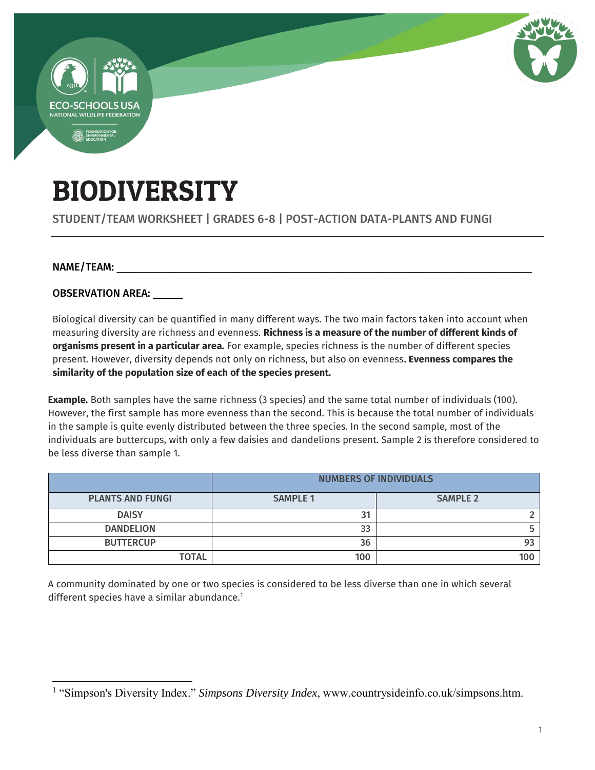

# BIODIVERSITY

### STUDENT/TEAM WORKSHEET | GRADES 6-8 | POST-ACTION DATA-PLANTS AND FUNGI

#### NAME/TEAM:

 $\overline{a}$ 

OBSERVATION AREA: \_\_\_\_\_

Biological diversity can be quantified in many different ways. The two main factors taken into account when measuring diversity are richness and evenness. **Richness is a measure of the number of different kinds of organisms present in a particular area.** For example, species richness is the number of different species present. However, diversity depends not only on richness, but also on evenness**. Evenness compares the similarity of the population size of each of the species present.** 

**Example.** Both samples have the same richness (3 species) and the same total number of individuals (100). However, the first sample has more evenness than the second. This is because the total number of individuals in the sample is quite evenly distributed between the three species. In the second sample, most of the individuals are buttercups, with only a few daisies and dandelions present. Sample 2 is therefore considered to be less diverse than sample 1.

|                         | <b>NUMBERS OF INDIVIDUALS</b> |                 |  |
|-------------------------|-------------------------------|-----------------|--|
| <b>PLANTS AND FUNGI</b> | <b>SAMPLE 1</b>               | <b>SAMPLE 2</b> |  |
| <b>DAISY</b>            | 31                            |                 |  |
| <b>DANDELION</b>        | 33                            |                 |  |
| <b>BUTTERCUP</b>        | 36                            |                 |  |
| TOTAL                   | 100                           | 100             |  |

A community dominated by one or two species is considered to be less diverse than one in which several different species have a similar abundance.<sup>1</sup>

<sup>&</sup>lt;sup>1</sup> "Simpson's Diversity Index." *Simpsons Diversity Index*, www.countrysideinfo.co.uk/simpsons.htm.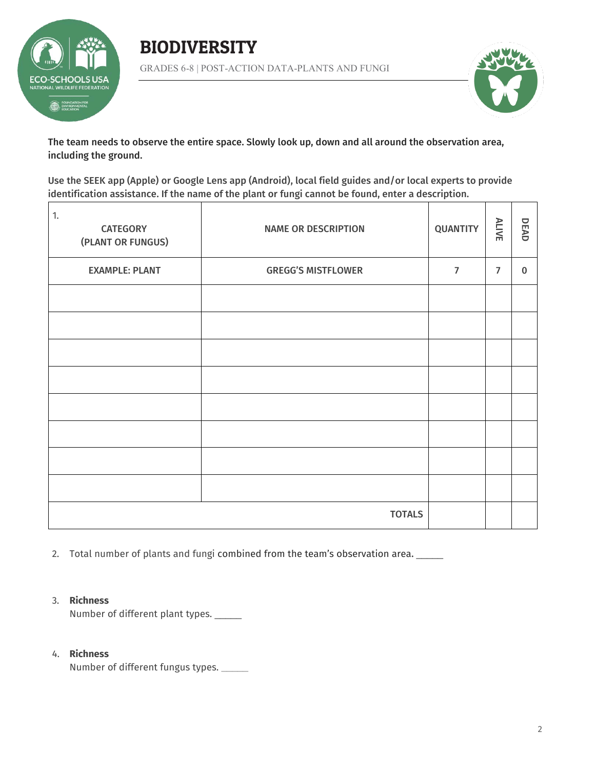





The team needs to observe the entire space. Slowly look up, down and all around the observation area, including the ground.

Use the SEEK app (Apple) or Google Lens app (Android), local field guides and/or local experts to provide identification assistance. If the name of the plant or fungi cannot be found, enter a description.

| 1.<br><b>CATEGORY</b><br>(PLANT OR FUNGUS) | <b>NAME OR DESCRIPTION</b> | <b>QUANTITY</b> | ALIVE          | DEAD        |
|--------------------------------------------|----------------------------|-----------------|----------------|-------------|
| <b>EXAMPLE: PLANT</b>                      | <b>GREGG'S MISTFLOWER</b>  | $\overline{7}$  | $\overline{7}$ | $\mathbf 0$ |
|                                            |                            |                 |                |             |
|                                            |                            |                 |                |             |
|                                            |                            |                 |                |             |
|                                            |                            |                 |                |             |
|                                            |                            |                 |                |             |
|                                            |                            |                 |                |             |
|                                            |                            |                 |                |             |
|                                            |                            |                 |                |             |
|                                            | <b>TOTALS</b>              |                 |                |             |

2. Total number of plants and fungi combined from the team's observation area.

#### 3. **Richness**

Number of different plant types. \_\_\_\_\_\_

#### 4. **Richness**

Number of different fungus types. **\_\_\_\_\_**